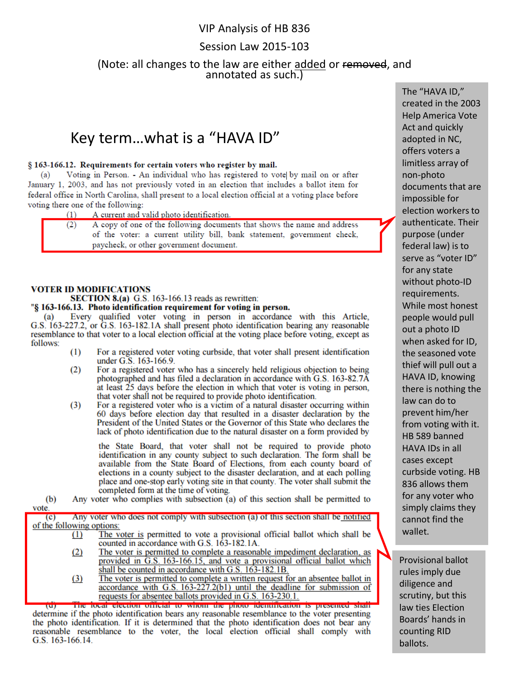## VIP Analysis of HB 836

# Session Law 2015-103

## (Note: all changes to the law are either added or removed, and annotated as such.)

# Key term…what is a "HAVA ID"

#### § 163-166.12. Requirements for certain voters who register by mail.

Voting in Person. - An individual who has registered to vote by mail on or after (a) January 1, 2003, and has not previously voted in an election that includes a ballot item for federal office in North Carolina, shall present to a local election official at a voting place before voting there one of the following:

 $(1)$ A current and valid photo identification.

A copy of one of the following documents that shows the name and address  $(2)$ of the voter: a current utility bill, bank statement, government check, paycheck, or other government document.

#### **VOTER ID MODIFICATIONS**

### **SECTION 8.(a)** G.S. 163-166.13 reads as rewritten:

#### "§ 163-166.13. Photo identification requirement for voting in person.

(a) Every qualified voter voting in person in accordance with this Article, G.S. 163-227.2, or G.S. 163-182.1A shall present photo identification bearing any reasonable resemblance to that voter to a local election official at the voting place before voting, except as follows:

- $(1)$ For a registered voter voting curbside, that voter shall present identification under G.S. 163-166.9.
- $(2)$ For a registered voter who has a sincerely held religious objection to being photographed and has filed a declaration in accordance with G.S. 163-82.7Å at least  $25$  days before the election in which that voter is voting in person, that voter shall not be required to provide photo identification.
- For a registered voter who is a victim of a natural disaster occurring within  $(3)$ 60 days before election day that resulted in a disaster declaration by the President of the United States or the Governor of this State who declares the lack of photo identification due to the natural disaster on a form provided by

the State Board, that voter shall not be required to provide photo identification in any county subject to such declaration. The form shall be available from the State Board of Elections, from each county board of elections in a county subject to the disaster declaration, and at each polling place and one-stop early voting site in that county. The voter shall submit the completed form at the time of voting.

Any voter who complies with subsection (a) of this section shall be permitted to  $(b)$ vote.

Any voter who does not comply with subsection (a) of this section shall be notified  $(c)$ of the following options:

- The voter is permitted to vote a provisional official ballot which shall be  $(1)$ counted in accordance with G.S. 163-182.1A.
	- $(2)$ The voter is permitted to complete a reasonable impediment declaration, as provided in G.S. 163-166.15, and vote a provisional official ballot which shall be counted in accordance with G.S. 163-182.1B.<br>The voter is permitted to complete a written request for an absentee ballot in
	- $(3)$ accordance with G.S. 163-227.2(b1) until the deadline for submission of requests for absentee ballots provided in G.S. 163-230.1.

The local election official to whom the photo identification is presented shall determine if the photo identification bears any reasonable resemblance to the voter presenting the photo identification. If it is determined that the photo identification does not bear any reasonable resemblance to the voter, the local election official shall comply with G.S. 163-166.14.

The "HAVA ID," created in the 2003 Help America Vote Act and quickly adopted in NC, offers voters a limitless array of non-photo documents that are impossible for election workers to authenticate. Their purpose (under federal law) is to serve as "voter ID" for any state without photo-ID requirements. While most honest people would pull out a photo ID when asked for ID, the seasoned vote thief will pull out a HAVA ID, knowing there is nothing the law can do to prevent him/her from voting with it. HB 589 banned HAVA IDs in all cases except curbside voting. HB 836 allows them for any voter who simply claims they cannot find the wallet.

Provisional ballot rules imply due diligence and scrutiny, but this law ties Election Boards' hands in counting RID ballots.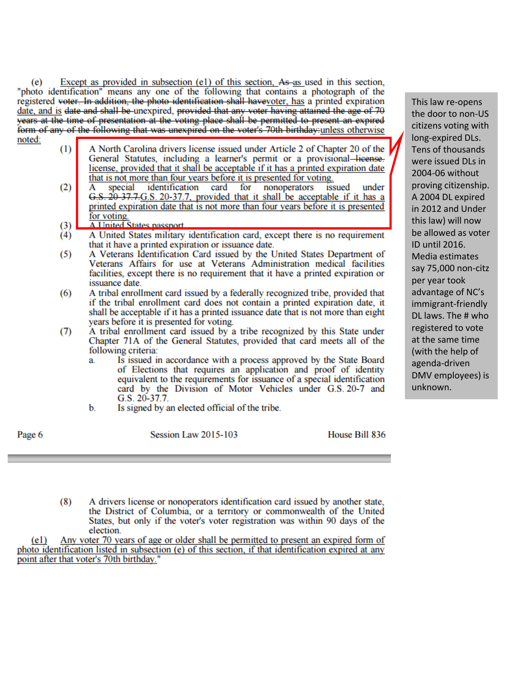Except as provided in subsection (e1) of this section, As as used in this section, (e) "photo identification" means any one of the following that contains a photograph of the registered voter. In addition, the photo identification shall havevoter, has a printed expiration date, and is date and shall be unexpired, provided that any voter having attained the age of 70 years at the time of presentation at the voting place shall be permitted to present an expired form of any of the following that was unexpired on the voter's 70th birthday unless otherwise

- noted:
- $(1)$ A North Carolina drivers license issued under Article 2 of Chapter 20 of the General Statutes, including a learner's permit or a provisional-license. license, provided that it shall be acceptable if it has a printed expiration date that is not more than four years before it is presented for voting.
- $(2)$ identification special card for nonoperators issued under G.S. 20 37.7.G.S. 20-37.7, provided that it shall be acceptable if it has a printed expiration date that is not more than four years before it is presented for voting.
- A United States nassnort  $(3)$
- A United States military identification card, except there is no requirement  $(4)$ that it have a printed expiration or issuance date.
- A Veterans Identification Card issued by the United States Department of  $(5)$ Veterans Affairs for use at Veterans Administration medical facilities facilities, except there is no requirement that it have a printed expiration or issuance date.
- $(6)$ A tribal enrollment card issued by a federally recognized tribe, provided that if the tribal enrollment card does not contain a printed expiration date, it shall be acceptable if it has a printed issuance date that is not more than eight years before it is presented for voting.
- $(7)$ A tribal enrollment card issued by a tribe recognized by this State under Chapter 71A of the General Statutes, provided that card meets all of the following criteria:
	- Is issued in accordance with a process approved by the State Board a of Elections that requires an application and proof of identity equivalent to the requirements for issuance of a special identification card by the Division of Motor Vehicles under G.S. 20-7 and G.S.  $20-37.7$ .
	- Is signed by an elected official of the tribe.  $\mathbf{b}$ .

Page 6

Session Law 2015-103

House Bill 836

 $(8)$ A drivers license or nonoperators identification card issued by another state, the District of Columbia, or a territory or commonwealth of the United States, but only if the voter's voter registration was within 90 days of the election.

Any voter 70 years of age or older shall be permitted to present an expired form of  $(e1)$ photo identification listed in subsection (e) of this section, if that identification expired at any point after that voter's 70th birthday."

This law re-opens the door to non-US citizens voting with long-expired DLs. Tens of thousands were issued DLs in 2004-06 without proving citizenship. A 2004 DL expired in 2012 and Under this law) will now be allowed as voter ID until 2016. Media estimates say 75,000 non-citz per year took advantage of NC's immigrant-friendly DL laws. The # who registered to vote at the same time (with the help of agenda-driven DMV employees) is unknown.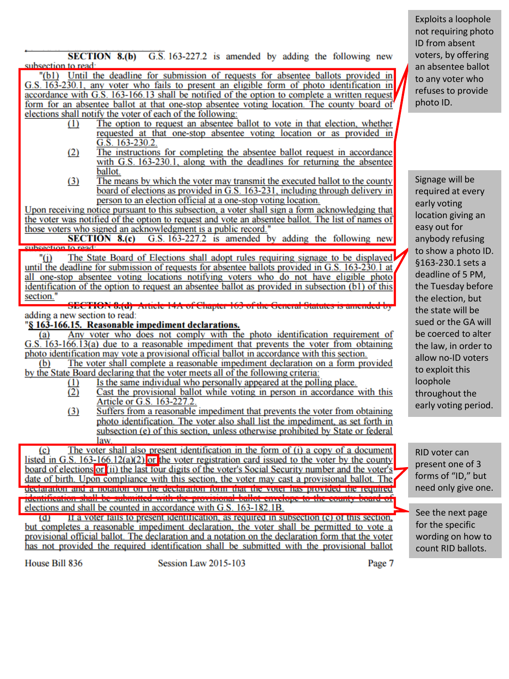**SECTION 8.(b)**  $\overline{G}$ . S. 163-227.2 is amended by adding the following new subsection to read:

"(b1) Until the deadline for submission of requests for absentee ballots provided in G.S. 163-230.1, any voter who fails to present an eligible form of photo identification in accordance with G.S. 163-166.13 shall be notified of the option to complete a written request form for an absentee ballot at that one-stop absentee voting location. The county board of elections shall notify the voter of each of the following:

- The option to request an absentee ballot to vote in that election, whether  $(1)$ requested at that one-stop absentee voting location or as provided in G.S.  $163-230.2$ .
- $(2)$ The instructions for completing the absentee ballot request in accordance with G.S. 163-230.1, along with the deadlines for returning the absentee ballot.
- $(3)$ The means by which the voter may transmit the executed ballot to the county board of elections as provided in G.S. 163-231, including through delivery in person to an election official at a one-stop voting location.

Upon receiving notice pursuant to this subsection, a voter shall sign a form acknowledging that the voter was notified of the option to request and vote an absentee ballot. The list of names of those voters who signed an acknowledgment is a public record."

G.S. 163-227.2 is amended by adding the following new **SECTION 8.(c)** enheection to read:

The State Board of Elections shall adopt rules requiring signage to be displayed "(i) until the deadline for submission of requests for absentee ballots provided in G.S. 163-230.1 at all one-stop absentee voting locations notifying voters who do not have eligible photo identification of the option to request an absentee ballot as provided in subsection (b1) of this section."

SECTION 0.(a) Article 14A of Chapter 163 of the General Statutes is amended adding a new section to read:

### "§ 163-166.15. Reasonable impediment declarations.

Any voter who does not comply with the photo identification requirement of (a) G.S. 163-166.13(a) due to a reasonable impediment that prevents the voter from obtaining photo identification may vote a provisional official ballot in accordance with this section.

 $(b)$ The voter shall complete a reasonable impediment declaration on a form provided by the State Board declaring that the voter meets all of the following criteria:

- Is the same individual who personally appeared at the polling place.  $(1)$
- $(2)$ Cast the provisional ballot while voting in person in accordance with this Article or G.S. 163-227.2.
- $(3)$ Suffers from a reasonable impediment that prevents the voter from obtaining photo identification. The voter also shall list the impediment, as set forth in subsection (e) of this section, unless otherwise prohibited by State or federal law.

The voter shall also present identification in the form of (i) a copy of a document  $\left( \text{c} \right)$ listed in G.S.  $163-166.12(a)(2)$  or the voter registration card issued to the voter by the county board of elections or (ii) the last four digits of the voter's Social Security number and the voter's date of birth. Upon compliance with this section, the voter may cast a provisional ballot. The declaration and a notation on the declaration form that the voter has provided the required identification shall be submitted with the provisional ballot envelope to the county board of elections and shall be counted in accordance with G.S. 163-182.1B.

If a voter fails to present identification, as required in subsection (c) of this section,  $\overline{a}$ but completes a reasonable impediment declaration, the voter shall be permitted to vote a provisional official ballot. The declaration and a notation on the declaration form that the voter has not provided the required identification shall be submitted with the provisional ballot

House Bill 836

Session Law 2015-103

Page 7

Exploits a loophole not requiring photo ID from absent voters, by offering an absentee ballot to any voter who refuses to provide photo ID.

Signage will be required at every early voting location giving an easy out for anybody refusing to show a photo ID. §163-230.1 sets a deadline of 5 PM, the Tuesday before the election, but the state will be sued or the GA will be coerced to alter the law, in order to allow no-ID voters to exploit this loophole throughout the early voting period.

RID voter can present one of 3 forms of "ID," but need only give one.

See the next page for the specific wording on how to count RID ballots.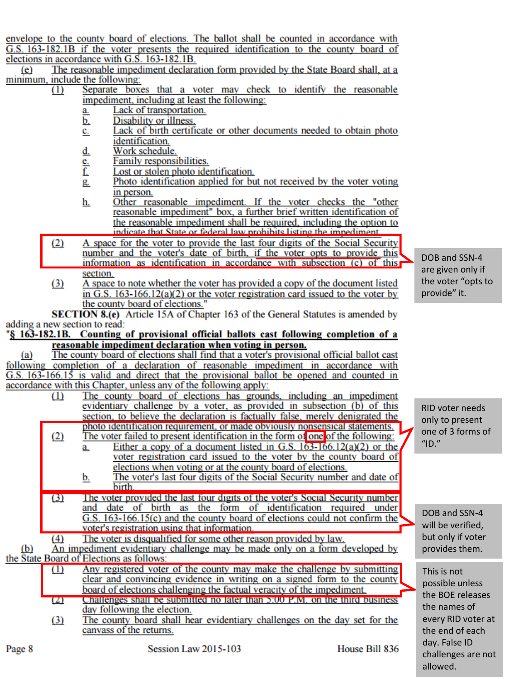envelope to the county board of elections. The ballot shall be counted in accordance with G.S. 163-182.1B if the voter presents the required identification to the county board of elections in accordance with G.S. 163-182.1B.

The reasonable impediment declaration form provided by the State Board shall, at a  $(e)$ minimum, include the following:

- Separate boxes that a voter may check to identify the reasonable  $(1)$ impediment, including at least the following:
	- Lack of transportation. a.
	- Disability or illness. b.
	- Lack of birth certificate or other documents needed to obtain photo c. identification.
	- d. Work schedule.
	- Family responsibilities. e.
	- f. Lost or stolen photo identification.
	- Photo identification applied for but not received by the voter voting g. in person.
	- Other reasonable impediment. If the voter checks the "other h. reasonable impediment" box, a further brief written identification of the reasonable impediment shall be required, including the option to indicate that State or federal law prohibits listing the impediment
- $(2)$ A space for the voter to provide the last four digits of the Social Security number and the voter's date of birth, if the voter opts to provide this information as identification in accordance with subsection (c) of this section.
- $(3)$ A space to note whether the voter has provided a copy of the document listed in G.S.  $163-166.12(a)(2)$  or the voter registration card issued to the voter by the county board of elections."

**SECTION 8.(e)** Article 15A of Chapter 163 of the General Statutes is amended by adding a new section to read:

"§ 163-182.1B. Counting of provisional official ballots cast following completion of a reasonable impediment declaration when voting in person.

 $(a)$ The county board of elections shall find that a voter's provisional official ballot cast following completion of a declaration of reasonable impediment in accordance with G.S. 163-166.15 is valid and direct that the provisional ballot be opened and counted in accordance with this Chapter, unless any of the following apply:

- The county board of elections has grounds, including an impediment  $(1)$ evidentiary challenge by a voter, as provided in subsection (b) of this section, to believe the declaration is factually false, merely denigrated the photo identification requirement, or made obviously nonsensical statements.  $(2)$ The voter failed to present identification in the form of one of the following: Either a copy of a document listed in G.S.  $163-166.12(a)(2)$  or the a. voter registration card issued to the voter by the county board of elections when voting or at the county board of elections. The voter's last four digits of the Social Security number and date of <u>b.</u> **birth** 
	- $(3)$ The voter provided the last four digits of the voter's Social Security number and date of birth as the form of identification required under G.S.  $163-166.15(c)$  and the county board of elections could not confirm the voter's registration using that information.

The voter is disqualified for some other reason provided by law.  $(4)$ 

An impediment evidentiary challenge may be made only on a form developed by  $(b)$ the State Board of Elections as follows:

- Any registered voter of the county may make the challenge by submitting  $(1)$ clear and convincing evidence in writing on a signed form to the county board of elections challenging the factual veracity of the impediment.
- $(2)$ Challenges shall be submitted no later than 5:00 P.M. on the third business day following the election.
- $(3)$ The county board shall hear evidentiary challenges on the day set for the canvass of the returns.

DOB and SSN-4 are given only if the voter "opts to provide" it.

RID voter needs only to present one of 3 forms of "ID."

DOB and SSN-4 will be verified, but only if voter provides them.

This is not possible unless the BOE releases the names of every RID voter at the end of each dav. False ID challenges are not allowed.

House Bill 836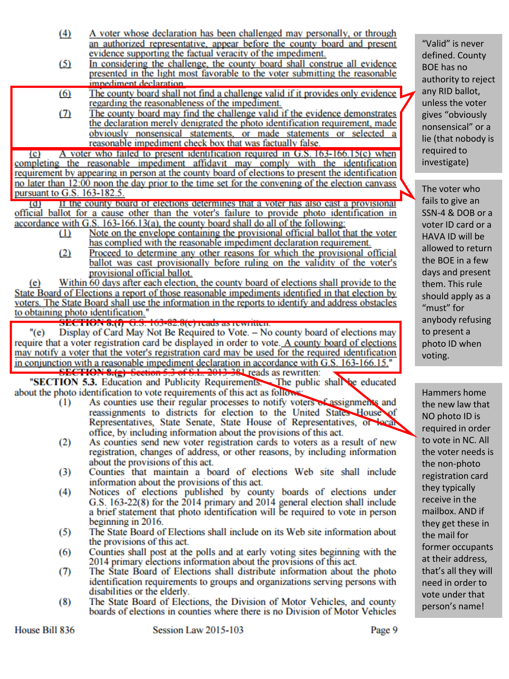| (4) | A voter whose declaration has been challenged may personally, or through |
|-----|--------------------------------------------------------------------------|
|     | an authorized representative, appear before the county board and present |
|     | evidence supporting the factual veracity of the impediment.              |

- $(5)$ In considering the challenge, the county board shall construe all evidence presented in the light most favorable to the voter submitting the reasonable impediment declaration
- The county board shall not find a challenge valid if it provides only evidence  $(6)$ regarding the reasonableness of the impediment.
- The county board may find the challenge valid if the evidence demonstrates  $(7)$ the declaration merely denigrated the photo identification requirement, made obviously nonsensical statements, or made statements or selected a reasonable impediment check box that was factually false.

A voter who failed to present identification required in G.S. 163-166.15(c) when  $\overline{c}$ completing the reasonable impediment affidavit may comply with the identification requirement by appearing in person at the county board of elections to present the identification no later than 12:00 noon the day prior to the time set for the convening of the election canvass pursuant to G.S. 163-182.5.

If the county board of elections determines that a voter has also cast a provisional  $\overline{a}$ official ballot for a cause other than the voter's failure to provide photo identification in accordance with G.S. 163-166.13(a), the county board shall do all of the following:

- $(1)$ Note on the envelope containing the provisional official ballot that the voter has complied with the reasonable impediment declaration requirement.
- $(2)$ Proceed to determine any other reasons for which the provisional official ballot was cast provisionally before ruling on the validity of the voter's provisional official ballot.

Within 60 days after each election, the county board of elections shall provide to the  $(e)$ State Board of Elections a report of those reasonable impediments identified in that election by voters. The State Board shall use the information in the reports to identify and address obstacles to obtaining photo identification."<br>SECTION 8.(f) G.S. 163-82.8(c) reads as rewritten.

 $"(e)$ Display of Card May Not Be Required to Vote. - No county board of elections may require that a voter registration card be displayed in order to vote. A county board of elections may notify a voter that the voter's registration card may be used for the required identification in conjunction with a reasonable impediment declaration in accordance with G.S. 163-166.15.<br> **SECTION 8.(g)** Section 5.3 of S.L. 2013-381 reads as rewritten:

"SECTION 5.3. Education and Publicity Requirements. The public shall be educated about the photo identification to vote requirements of this act as follows:

- As counties use their regular processes to notify voters of assignments and  $(1)$ reassignments to districts for election to the United States House of Representatives, State Senate, State House of Representatives, or local office, by including information about the provisions of this act.
- As counties send new voter registration cards to voters as a result of new  $(2)$ registration, changes of address, or other reasons, by including information about the provisions of this act.
- $(3)$ Counties that maintain a board of elections Web site shall include information about the provisions of this act.
- Notices of elections published by county boards of elections under  $(4)$ G.S. 163-22(8) for the 2014 primary and 2014 general election shall include a brief statement that photo identification will be required to vote in person beginning in 2016.
- The State Board of Elections shall include on its Web site information about (5) the provisions of this act.
- $(6)$ Counties shall post at the polls and at early voting sites beginning with the 2014 primary elections information about the provisions of this act.
- The State Board of Elections shall distribute information about the photo  $(7)$ identification requirements to groups and organizations serving persons with disabilities or the elderly.
- The State Board of Elections, the Division of Motor Vehicles, and county  $(8)$ boards of elections in counties where there is no Division of Motor Vehicles

"Valid" is never defined. County BOE has no authority to reject any RID ballot, unless the voter gives "obviously nonsensical" or a lie (that nobody is required to investigate)

The voter who fails to give an SSN-4 & DOB or a voter ID card or a HAVA ID will be allowed to return the BOE in a few days and present them. This rule should apply as a "must" for anybody refusing to present a photo ID when voting.

Hammers home the new law that NO photo ID is reguired in order to vote in NC. All the voter needs is the non-photo registration card they typically receive in the mailbox. AND if they get these in the mail for former occupants at their address, that's all they will need in order to vote under that person's name!